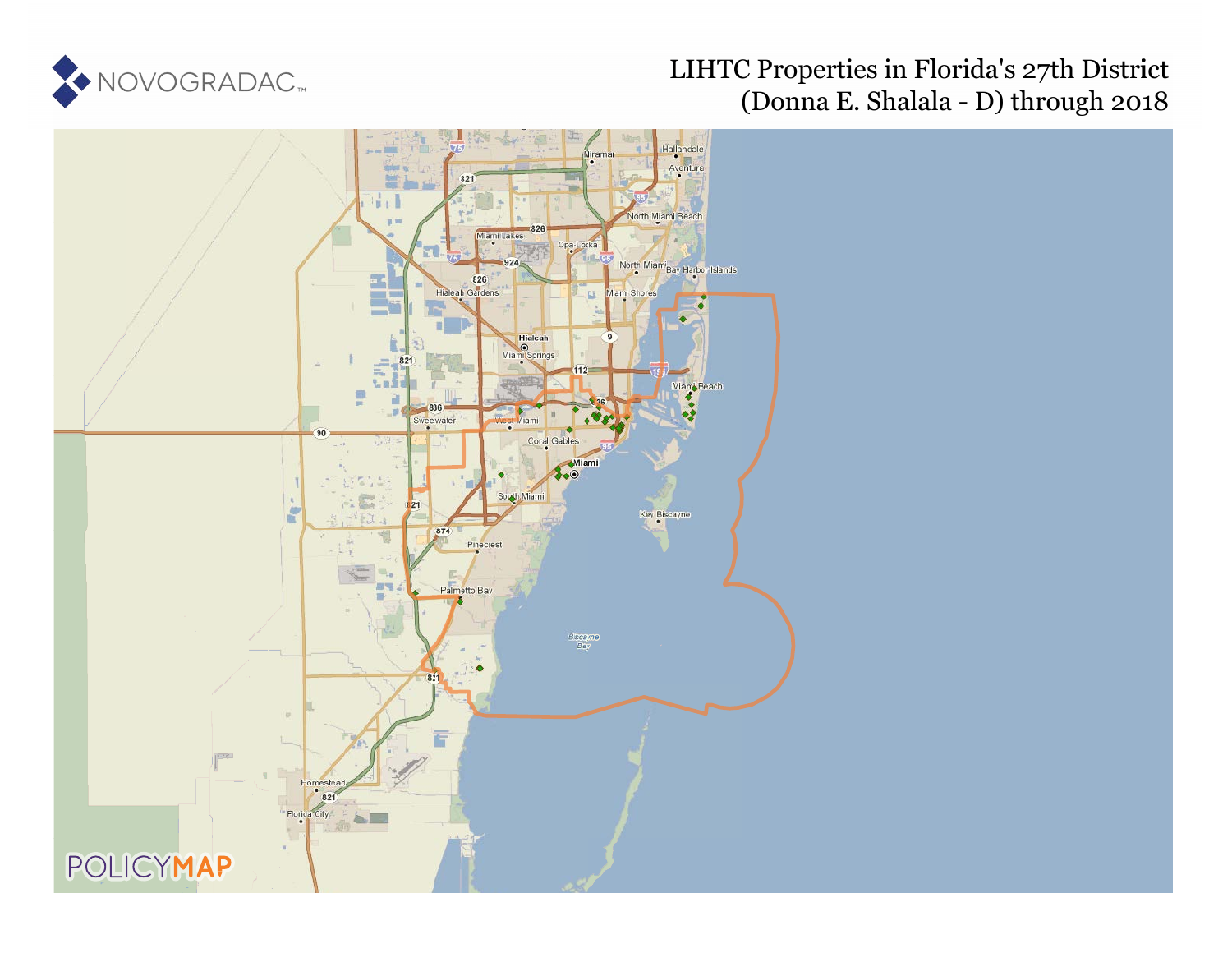

# LIHTC Properties in Florida's 27th District (Donna E. Shalala - D) through 2018

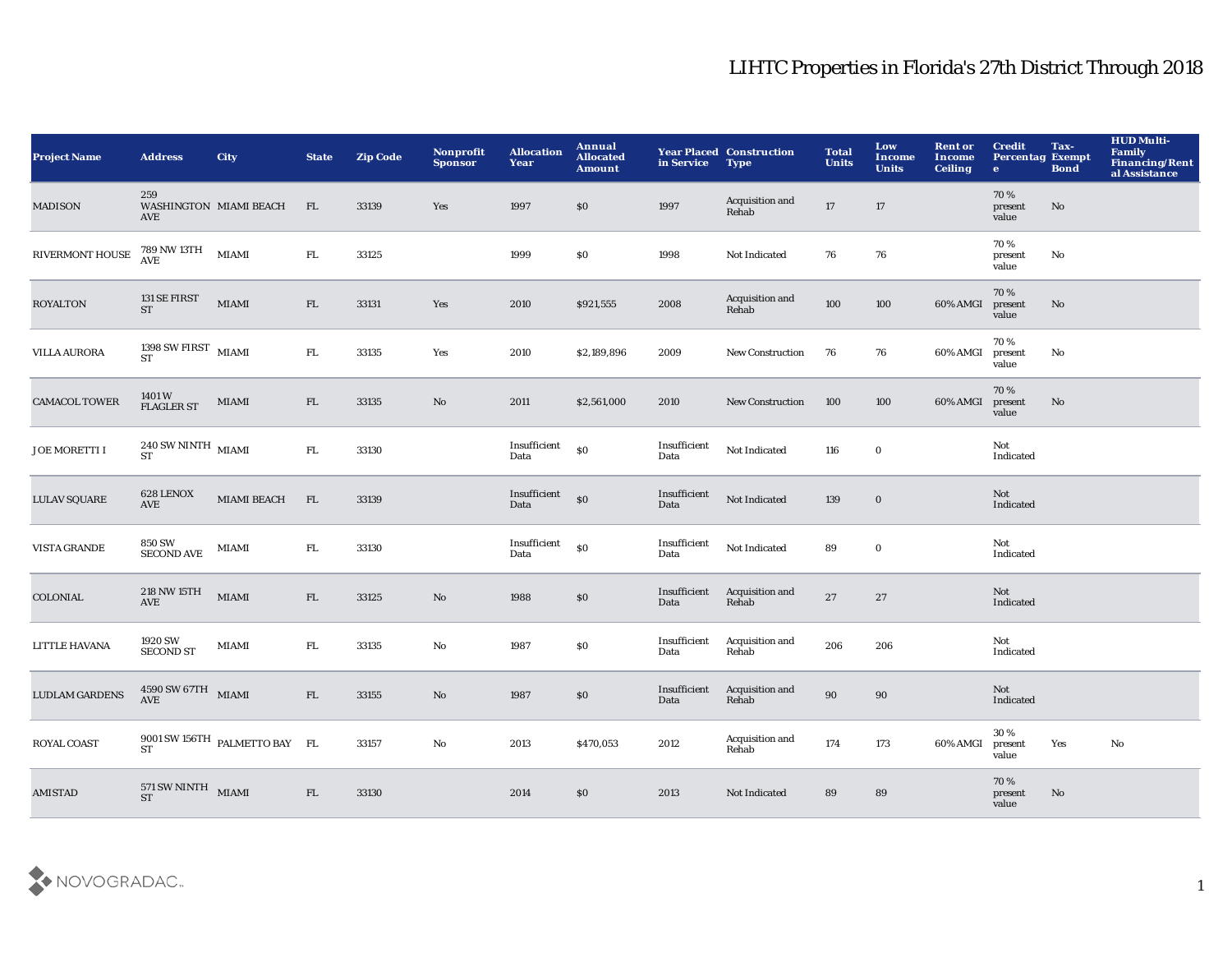| <b>Project Name</b>   | <b>Address</b>                                            | <b>City</b>                   | <b>State</b> | <b>Zip Code</b> | Nonprofit<br><b>Sponsor</b> | <b>Allocation</b><br>Year | Annual<br><b>Allocated</b><br><b>Amount</b> | in Service           | <b>Year Placed Construction</b><br><b>Type</b> | <b>Total</b><br><b>Units</b> | Low<br><b>Income</b><br><b>Units</b> | <b>Rent or</b><br><b>Income</b><br><b>Ceiling</b> | <b>Credit</b><br><b>Percentag Exempt</b><br>$\bullet$ | Tax-<br><b>Bond</b> | <b>HUD Multi-</b><br>Family<br>Financing/Rent<br>al Assistance |
|-----------------------|-----------------------------------------------------------|-------------------------------|--------------|-----------------|-----------------------------|---------------------------|---------------------------------------------|----------------------|------------------------------------------------|------------------------------|--------------------------------------|---------------------------------------------------|-------------------------------------------------------|---------------------|----------------------------------------------------------------|
| <b>MADISON</b>        | 259<br><b>AVE</b>                                         | WASHINGTON MIAMI BEACH        | FL.          | 33139           | Yes                         | 1997                      | \$0                                         | 1997                 | Acquisition and<br>Rehab                       | 17                           | 17                                   |                                                   | 70%<br>present<br>value                               | No                  |                                                                |
| RIVERMONT HOUSE       | $789$ NW $13 \mathrm{TH}$ $$\rm{MIAMI}$$                  |                               | ${\rm FL}$   | 33125           |                             | 1999                      | \$0                                         | 1998                 | Not Indicated                                  | 76                           | 76                                   |                                                   | 70%<br>present<br>value                               | No                  |                                                                |
| <b>ROYALTON</b>       | 131 SE FIRST<br><b>ST</b>                                 | <b>MIAMI</b>                  | FL           | 33131           | Yes                         | 2010                      | \$921,555                                   | 2008                 | Acquisition and<br>Rehab                       | 100                          | 100                                  | 60% AMGI                                          | 70%<br>present<br>value                               | No                  |                                                                |
| <b>VILLA AURORA</b>   | 1398 SW FIRST $$\rm MIAMI$$<br><b>ST</b>                  |                               | ${\rm FL}$   | 33135           | Yes                         | 2010                      | \$2,189,896                                 | 2009                 | <b>New Construction</b>                        | 76                           | 76                                   | 60% AMGI                                          | 70%<br>present<br>value                               | No                  |                                                                |
| <b>CAMACOL TOWER</b>  | 1401 W<br>FLAGLER ST                                      | MIAMI                         | FL           | 33135           | $\mathbf{N}\mathbf{o}$      | 2011                      | \$2,561,000                                 | 2010                 | <b>New Construction</b>                        | 100                          | 100                                  | 60% AMGI                                          | 70%<br>present<br>value                               | No                  |                                                                |
| <b>JOE MORETTI I</b>  | $240\,\mathrm{SW}\,\mathrm{NINTH}\;$ MIAMI<br><b>ST</b>   |                               | ${\rm FL}$   | 33130           |                             | Insufficient<br>Data      | \$0                                         | Insufficient<br>Data | Not Indicated                                  | 116                          | $\mathbf 0$                          |                                                   | Not<br>Indicated                                      |                     |                                                                |
| <b>LULAV SQUARE</b>   | 628 LENOX<br><b>AVE</b>                                   | <b>MIAMI BEACH</b>            | FL           | 33139           |                             | Insufficient<br>Data      | $$0\,$                                      | Insufficient<br>Data | Not Indicated                                  | 139                          | $\bf{0}$                             |                                                   | Not<br>Indicated                                      |                     |                                                                |
| <b>VISTA GRANDE</b>   | 850 SW<br>SECOND AVE                                      | MIAMI                         | FL.          | 33130           |                             | Insufficient<br>Data      | \$0                                         | Insufficient<br>Data | Not Indicated                                  | 89                           | $\bf{0}$                             |                                                   | Not<br>Indicated                                      |                     |                                                                |
| <b>COLONIAL</b>       | 218 NW 15TH<br>AVE                                        | <b>MIAMI</b>                  | FL           | 33125           | No                          | 1988                      | \$0                                         | Insufficient<br>Data | Acquisition and<br>Rehab                       | 27                           | 27                                   |                                                   | Not<br>Indicated                                      |                     |                                                                |
| LITTLE HAVANA         | 1920 SW<br><b>SECOND ST</b>                               | MIAMI                         | FL.          | 33135           | $\rm No$                    | 1987                      | $\$0$                                       | Insufficient<br>Data | Acquisition and<br>Rehab                       | 206                          | 206                                  |                                                   | Not<br>Indicated                                      |                     |                                                                |
| <b>LUDLAM GARDENS</b> | $4590 \, \mathrm{SW}$ $67 \mathrm{TH}$ $$\rm{MIAMI}$$ AVE |                               | FL           | 33155           | No                          | 1987                      | $\$0$                                       | Insufficient<br>Data | Acquisition and<br>Rehab                       | $90\,$                       | 90                                   |                                                   | Not<br>Indicated                                      |                     |                                                                |
| <b>ROYAL COAST</b>    |                                                           | 9001 SW 156TH PALMETTO BAY FL |              | 33157           | No                          | 2013                      | \$470,053                                   | 2012                 | Acquisition and<br>Rehab                       | 174                          | 173                                  | 60% AMGI                                          | 30%<br>present<br>value                               | Yes                 | $\mathbf{N}\mathbf{o}$                                         |
| <b>AMISTAD</b>        | $571$ SW NINTH $$\rm{MIAMI}$$                             |                               | FL           | 33130           |                             | 2014                      | \$0                                         | 2013                 | Not Indicated                                  | 89                           | 89                                   |                                                   | 70%<br>present<br>value                               | No                  |                                                                |

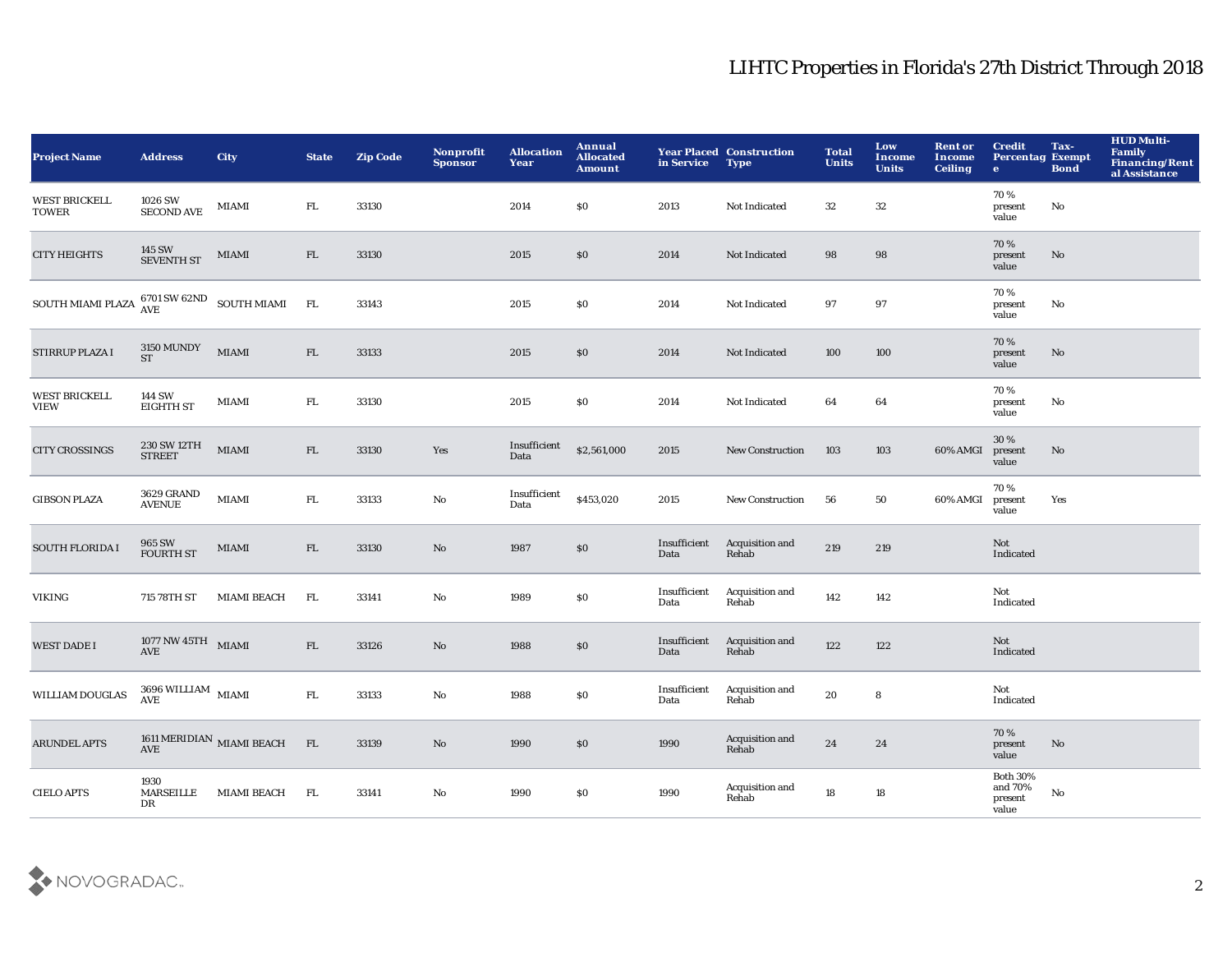| <b>Project Name</b>                  | <b>Address</b>                                                            | <b>City</b>                                                             | <b>State</b> | <b>Zip Code</b> | Nonprofit<br><b>Sponsor</b> | <b>Allocation</b><br>Year | Annual<br><b>Allocated</b><br><b>Amount</b> | in Service           | <b>Year Placed Construction</b><br><b>Type</b> | <b>Total</b><br><b>Units</b> | Low<br><b>Income</b><br><b>Units</b> | <b>Rent or</b><br><b>Income</b><br><b>Ceiling</b> | <b>Credit</b><br><b>Percentag Exempt</b><br>$\bullet$ | Tax-<br><b>Bond</b> | <b>HUD Multi-</b><br>Family<br>Financing/Rent<br>al Assistance |
|--------------------------------------|---------------------------------------------------------------------------|-------------------------------------------------------------------------|--------------|-----------------|-----------------------------|---------------------------|---------------------------------------------|----------------------|------------------------------------------------|------------------------------|--------------------------------------|---------------------------------------------------|-------------------------------------------------------|---------------------|----------------------------------------------------------------|
| <b>WEST BRICKELL</b><br><b>TOWER</b> | 1026 SW<br><b>SECOND AVE</b>                                              | MIAMI                                                                   | FL.          | 33130           |                             | 2014                      | \$0                                         | 2013                 | Not Indicated                                  | 32                           | 32                                   |                                                   | 70%<br>present<br>value                               | No                  |                                                                |
| <b>CITY HEIGHTS</b>                  | $145$ SW $$\rm SEVENTH\:ST$$                                              | MIAMI                                                                   | FL           | 33130           |                             | 2015                      | \$0                                         | 2014                 | Not Indicated                                  | 98                           | 98                                   |                                                   | 70%<br>present<br>value                               | No                  |                                                                |
| <b>SOUTH MIAMI PLAZA</b>             |                                                                           | $6701\,\mathrm{SW}\,62\mathrm{ND} \quad \mathrm{SOUTH}\,\mathrm{MIAMI}$ | FL           | 33143           |                             | 2015                      | \$0                                         | 2014                 | Not Indicated                                  | 97                           | 97                                   |                                                   | 70%<br>present<br>value                               | No                  |                                                                |
| <b>STIRRUP PLAZA I</b>               | <b>3150 MUNDY</b><br><b>ST</b>                                            | <b>MIAMI</b>                                                            | FL           | 33133           |                             | 2015                      | \$0                                         | 2014                 | Not Indicated                                  | 100                          | 100                                  |                                                   | 70%<br>present<br>value                               | No                  |                                                                |
| <b>WEST BRICKELL</b><br><b>VIEW</b>  | 144 SW<br><b>EIGHTH ST</b>                                                | MIAMI                                                                   | FL.          | 33130           |                             | 2015                      | \$0                                         | 2014                 | Not Indicated                                  | 64                           | 64                                   |                                                   | 70%<br>present<br>value                               | No                  |                                                                |
| <b>CITY CROSSINGS</b>                | 230 SW 12TH<br><b>STREET</b>                                              | <b>MIAMI</b>                                                            | FL           | 33130           | Yes                         | Insufficient<br>Data      | \$2,561,000                                 | 2015                 | <b>New Construction</b>                        | 103                          | 103                                  | 60% AMGI                                          | 30%<br>present<br>value                               | No                  |                                                                |
| <b>GIBSON PLAZA</b>                  | 3629 GRAND<br><b>AVENUE</b>                                               | MIAMI                                                                   | FL.          | 33133           | No                          | Insufficient<br>Data      | \$453,020                                   | 2015                 | <b>New Construction</b>                        | 56                           | 50                                   | 60% AMGI                                          | 70%<br>present<br>value                               | Yes                 |                                                                |
| <b>SOUTH FLORIDA I</b>               | 965 SW<br><b>FOURTH ST</b>                                                | $\bf MIAMI$                                                             | ${\rm FL}$   | 33130           | No                          | 1987                      | \$0                                         | Insufficient<br>Data | Acquisition and<br>Rehab                       | 219                          | 219                                  |                                                   | Not<br>Indicated                                      |                     |                                                                |
| VIKING                               | 715 78TH ST                                                               | <b>MIAMI BEACH</b>                                                      | FL           | 33141           | No                          | 1989                      | \$0                                         | Insufficient<br>Data | Acquisition and<br>Rehab                       | 142                          | 142                                  |                                                   | Not<br>Indicated                                      |                     |                                                                |
| <b>WEST DADE I</b>                   | $1077$ NW $45 \mathrm{TH}$ $_{\,}$ MIAMI<br>$\operatorname{\mathbf{AVE}}$ |                                                                         | ${\rm FL}$   | 33126           | No                          | 1988                      | $\$0$                                       | Insufficient<br>Data | Acquisition and<br>Rehab                       | 122                          | 122                                  |                                                   | <b>Not</b><br>Indicated                               |                     |                                                                |
| WILLIAM DOUGLAS                      | $3696\,$ WILLIAM $$\rm{MIAMI}$$ AVE                                       |                                                                         | FL           | 33133           | $\mathbf{No}$               | 1988                      | \$0                                         | Insufficient<br>Data | Acquisition and<br>Rehab                       | 20                           | ${\bf 8}$                            |                                                   | Not<br>Indicated                                      |                     |                                                                |
| <b>ARUNDEL APTS</b>                  | AVE                                                                       | 1611 MERIDIAN $\,$ MIAMI BEACH $\,$                                     | FL           | 33139           | No                          | 1990                      | \$0                                         | 1990                 | Acquisition and<br>Rehab                       | 24                           | 24                                   |                                                   | 70%<br>present<br>value                               | No                  |                                                                |
| <b>CIELO APTS</b>                    | 1930<br><b>MARSEILLE</b><br>DR                                            | <b>MIAMI BEACH</b>                                                      | FL.          | 33141           | No                          | 1990                      | \$0                                         | 1990                 | Acquisition and<br>Rehab                       | 18                           | 18                                   |                                                   | <b>Both 30%</b><br>and 70%<br>present<br>value        | No                  |                                                                |

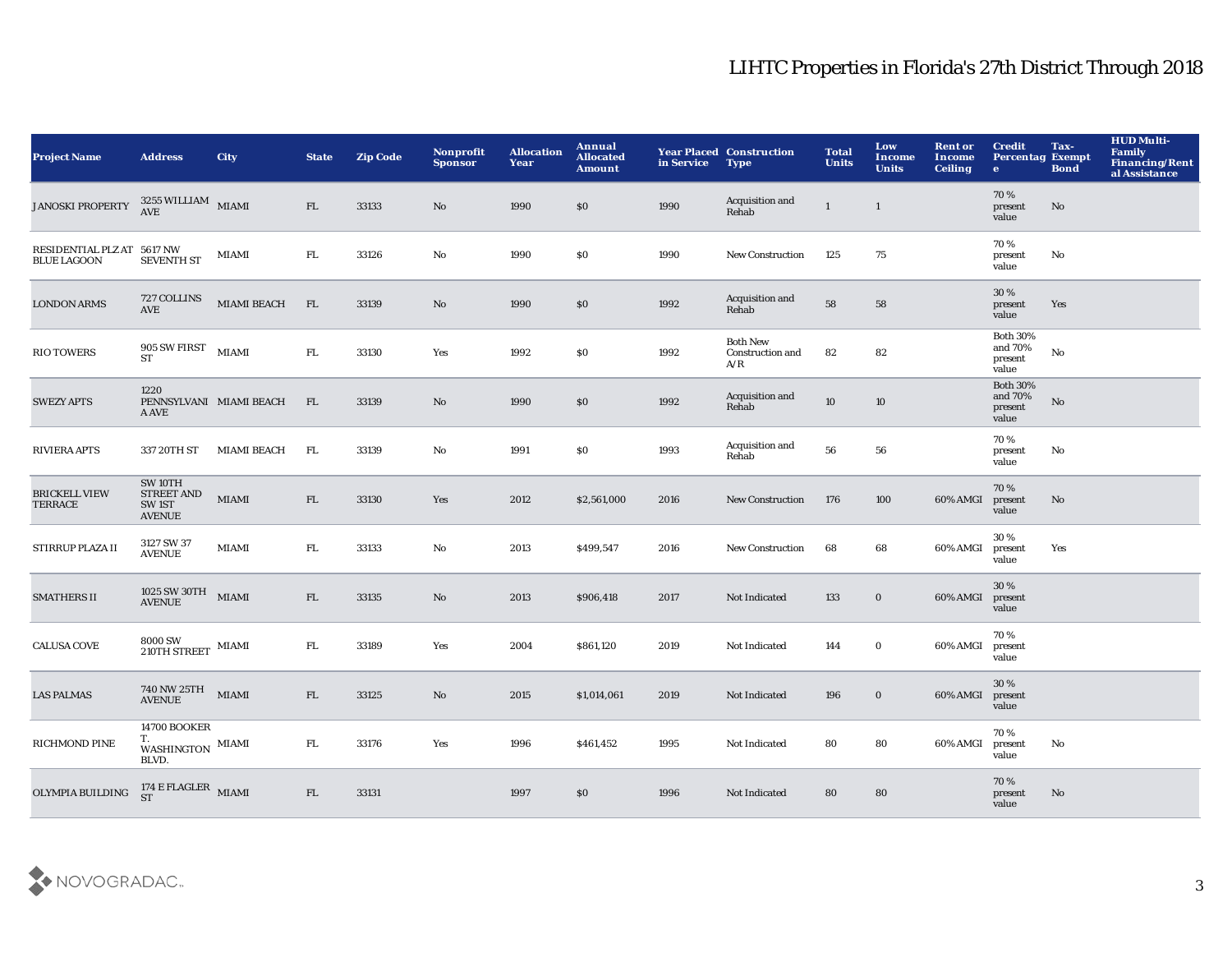| <b>Project Name</b>                              | <b>Address</b>                                                     | <b>City</b>             | <b>State</b> | <b>Zip Code</b> | Nonprofit<br><b>Sponsor</b> | <b>Allocation</b><br>Year | Annual<br><b>Allocated</b><br><b>Amount</b> | in Service | <b>Year Placed Construction</b><br><b>Type</b> | <b>Total</b><br><b>Units</b> | Low<br><b>Income</b><br><b>Units</b> | <b>Rent or</b><br><b>Income</b><br><b>Ceiling</b> | <b>Credit</b><br><b>Percentag Exempt</b><br>$\mathbf{e}$ | Tax-<br><b>Bond</b> | <b>HUD Multi-</b><br><b>Family</b><br><b>Financing/Rent</b><br>al Assistance |
|--------------------------------------------------|--------------------------------------------------------------------|-------------------------|--------------|-----------------|-----------------------------|---------------------------|---------------------------------------------|------------|------------------------------------------------|------------------------------|--------------------------------------|---------------------------------------------------|----------------------------------------------------------|---------------------|------------------------------------------------------------------------------|
| <b>JANOSKI PROPERTY</b>                          | $3255\,$ WILLIAM $$\rm{MIAMI}$$                                    |                         | FL           | 33133           | No                          | 1990                      | \$0                                         | 1990       | Acquisition and<br>Rehab                       | $\mathbf{1}$                 | $\mathbf{1}$                         |                                                   | 70%<br>present<br>value                                  | No                  |                                                                              |
| RESIDENTIAL PLZ AT 5617 NW<br><b>BLUE LAGOON</b> | <b>SEVENTH ST</b>                                                  | <b>MIAMI</b>            | FL.          | 33126           | No                          | 1990                      | <b>SO</b>                                   | 1990       | <b>New Construction</b>                        | 125                          | 75                                   |                                                   | 70%<br>present<br>value                                  | No                  |                                                                              |
| <b>LONDON ARMS</b>                               | 727 COLLINS<br>AVE                                                 | MIAMI BEACH             | FL           | 33139           | No                          | 1990                      | \$0                                         | 1992       | Acquisition and<br>Rehab                       | 58                           | 58                                   |                                                   | 30 %<br>present<br>value                                 | Yes                 |                                                                              |
| <b>RIO TOWERS</b>                                | $905$ SW FIRST $$\rm{MIAMI}$$<br><b>ST</b>                         |                         | ${\rm FL}$   | 33130           | Yes                         | 1992                      | \$0                                         | 1992       | <b>Both New</b><br>Construction and<br>A/R     | 82                           | 82                                   |                                                   | <b>Both 30%</b><br>and 70%<br>present<br>value           | No                  |                                                                              |
| <b>SWEZY APTS</b>                                | 1220<br>A AVE                                                      | PENNSYLVANI MIAMI BEACH | FL           | 33139           | No                          | 1990                      | \$0                                         | 1992       | Acquisition and<br>Rehab                       | 10                           | 10                                   |                                                   | <b>Both 30%</b><br>and 70%<br>present<br>value           | No                  |                                                                              |
| <b>RIVIERA APTS</b>                              | 337 20TH ST                                                        | <b>MIAMI BEACH</b>      | FL.          | 33139           | $\mathbf{N}\mathbf{o}$      | 1991                      | \$0                                         | 1993       | Acquisition and<br>Rehab                       | 56                           | ${\bf 56}$                           |                                                   | 70 %<br>present<br>value                                 | No                  |                                                                              |
| <b>BRICKELL VIEW</b><br><b>TERRACE</b>           | SW 10TH<br><b>STREET AND</b><br>SW <sub>1ST</sub><br><b>AVENUE</b> | <b>MIAMI</b>            | FL           | 33130           | Yes                         | 2012                      | \$2,561,000                                 | 2016       | New Construction                               | 176                          | 100                                  | 60% AMGI                                          | 70%<br>present<br>value                                  | No                  |                                                                              |
| STIRRUP PLAZA II                                 | 3127 SW 37<br><b>AVENUE</b>                                        | <b>MIAMI</b>            | FL.          | 33133           | No                          | 2013                      | \$499,547                                   | 2016       | <b>New Construction</b>                        | 68                           | 68                                   | 60% AMGI                                          | 30 %<br>present<br>value                                 | Yes                 |                                                                              |
| <b>SMATHERS II</b>                               | 1025 SW 30TH<br>AVENUE                                             | <b>MIAMI</b>            | FL           | 33135           | No                          | 2013                      | \$906,418                                   | 2017       | Not Indicated                                  | 133                          | $\bf{0}$                             | 60% AMGI                                          | 30%<br>present<br>value                                  |                     |                                                                              |
| <b>CALUSA COVE</b>                               | 8000 SW<br>$210\mathrm{TH}$ STREET $\,$ MIAMI                      |                         | FL.          | 33189           | Yes                         | 2004                      | \$861,120                                   | 2019       | Not Indicated                                  | 144                          | $\mathbf 0$                          | 60% AMGI                                          | 70%<br>present<br>value                                  |                     |                                                                              |
| <b>LAS PALMAS</b>                                | 740 NW 25TH MIAMI<br><b>AVENUE</b>                                 |                         | FL           | 33125           | No                          | 2015                      | \$1,014,061                                 | 2019       | Not Indicated                                  | 196                          | $\bf{0}$                             | 60% AMGI                                          | 30 %<br>present<br>value                                 |                     |                                                                              |
| <b>RICHMOND PINE</b>                             | <b>14700 BOOKER</b><br>T.<br>WASHINGTON MIAMI<br>BLVD.             |                         | FL.          | 33176           | Yes                         | 1996                      | \$461,452                                   | 1995       | Not Indicated                                  | 80                           | 80                                   | 60% AMGI                                          | 70%<br>present<br>value                                  | No                  |                                                                              |
| OLYMPIA BUILDING                                 | $174$ E FLAGLER $$\rm MIAMI$$                                      |                         | FL           | 33131           |                             | 1997                      | \$0                                         | 1996       | Not Indicated                                  | 80                           | 80                                   |                                                   | 70%<br>present<br>value                                  | No                  |                                                                              |